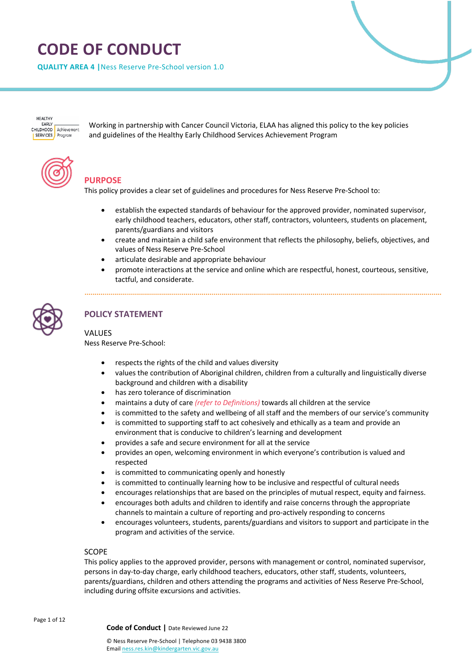# **CODE OF CONDUCT**

**QUALITY AREA 4 |**Ness Reserve Pre-School version 1.0

HEALTHY **EADIV** CHILDHOOD Achievement Program **SERVICES** 

Working in partnership with Cancer Council Victoria, ELAA has aligned this policy to the key policies and guidelines of the Healthy Early Childhood Services Achievement Program



# **PURPOSE**

This policy provides a clear set of guidelines and procedures for Ness Reserve Pre-School to:

- establish the expected standards of behaviour for the approved provider, nominated supervisor, early childhood teachers, educators, other staff, contractors, volunteers, students on placement, parents/guardians and visitors
- create and maintain a child safe environment that reflects the philosophy, beliefs, objectives, and values of Ness Reserve Pre-School
- articulate desirable and appropriate behaviour
- promote interactions at the service and online which are respectful, honest, courteous, sensitive, tactful, and considerate.



# **POLICY STATEMENT**

## VALUES

Ness Reserve Pre-School:

- respects the rights of the child and values diversity
- values the contribution of Aboriginal children, children from a culturally and linguistically diverse background and children with a disability
- has zero tolerance of discrimination
- maintains a duty of care *(refer to Definitions)* towards all children at the service
- is committed to the safety and wellbeing of all staff and the members of our service's community
- is committed to supporting staff to act cohesively and ethically as a team and provide an environment that is conducive to children's learning and development
- provides a safe and secure environment for all at the service
- provides an open, welcoming environment in which everyone's contribution is valued and respected
- is committed to communicating openly and honestly
- is committed to continually learning how to be inclusive and respectful of cultural needs
- encourages relationships that are based on the principles of mutual respect, equity and fairness.
- encourages both adults and children to identify and raise concerns through the appropriate channels to maintain a culture of reporting and pro-actively responding to concerns
- encourages volunteers, students, parents/guardians and visitors to support and participate in the program and activities of the service.

#### SCOPE

This policy applies to the approved provider, persons with management or control, nominated supervisor, persons in day-to-day charge, early childhood teachers, educators, other staff, students, volunteers, parents/guardians, children and others attending the programs and activities of Ness Reserve Pre-School, including during offsite excursions and activities.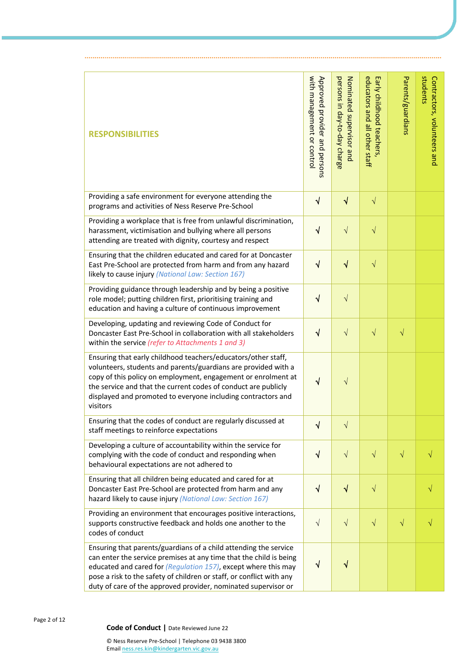| <b>RESPONSIBILITIES</b>                                                                                                                                                                                                                                                                                                                            | with management or control<br>Approved provider and persons | persons in day-to-day charge<br>Nominated supervisor and | educators and all other staff<br>Early childhood teachers | Parents/guardians | students<br>Contractors, volunteers and |
|----------------------------------------------------------------------------------------------------------------------------------------------------------------------------------------------------------------------------------------------------------------------------------------------------------------------------------------------------|-------------------------------------------------------------|----------------------------------------------------------|-----------------------------------------------------------|-------------------|-----------------------------------------|
| Providing a safe environment for everyone attending the<br>programs and activities of Ness Reserve Pre-School                                                                                                                                                                                                                                      | $\sqrt{ }$                                                  | $\sqrt{}$                                                | $\sqrt{}$                                                 |                   |                                         |
| Providing a workplace that is free from unlawful discrimination,<br>harassment, victimisation and bullying where all persons<br>attending are treated with dignity, courtesy and respect                                                                                                                                                           | $\sqrt{ }$                                                  | $\sqrt{}$                                                | $\sqrt{}$                                                 |                   |                                         |
| Ensuring that the children educated and cared for at Doncaster<br>East Pre-School are protected from harm and from any hazard<br>likely to cause injury (National Law: Section 167)                                                                                                                                                                | $\sqrt{}$                                                   | $\sqrt{}$                                                | $\sqrt{}$                                                 |                   |                                         |
| Providing guidance through leadership and by being a positive<br>role model; putting children first, prioritising training and<br>education and having a culture of continuous improvement                                                                                                                                                         | $\sqrt{}$                                                   | $\sqrt{}$                                                |                                                           |                   |                                         |
| Developing, updating and reviewing Code of Conduct for<br>Doncaster East Pre-School in collaboration with all stakeholders<br>within the service (refer to Attachments 1 and 3)                                                                                                                                                                    | $\sqrt{ }$                                                  | $\sqrt{}$                                                | $\sqrt{}$                                                 | $\sqrt{}$         |                                         |
| Ensuring that early childhood teachers/educators/other staff,<br>volunteers, students and parents/guardians are provided with a<br>copy of this policy on employment, engagement or enrolment at<br>the service and that the current codes of conduct are publicly<br>displayed and promoted to everyone including contractors and<br>visitors     | $\sqrt{}$                                                   | $\sqrt{}$                                                |                                                           |                   |                                         |
| Ensuring that the codes of conduct are regularly discussed at<br>staff meetings to reinforce expectations                                                                                                                                                                                                                                          | N                                                           | V                                                        |                                                           |                   |                                         |
| Developing a culture of accountability within the service for<br>complying with the code of conduct and responding when<br>behavioural expectations are not adhered to                                                                                                                                                                             | $\sqrt{ }$                                                  | $\sqrt{}$                                                | $\sqrt{}$                                                 | $\sqrt{}$         |                                         |
| Ensuring that all children being educated and cared for at<br>Doncaster East Pre-School are protected from harm and any<br>hazard likely to cause injury (National Law: Section 167)                                                                                                                                                               | $\sqrt{ }$                                                  | $\sqrt{}$                                                | $\sqrt{}$                                                 |                   |                                         |
| Providing an environment that encourages positive interactions,<br>supports constructive feedback and holds one another to the<br>codes of conduct                                                                                                                                                                                                 | $\sqrt{ }$                                                  | $\sqrt{}$                                                | $\sqrt{}$                                                 | $\sqrt{}$         |                                         |
| Ensuring that parents/guardians of a child attending the service<br>can enter the service premises at any time that the child is being<br>educated and cared for (Regulation 157), except where this may<br>pose a risk to the safety of children or staff, or conflict with any<br>duty of care of the approved provider, nominated supervisor or | $\sqrt{}$                                                   | $\sqrt{}$                                                |                                                           |                   |                                         |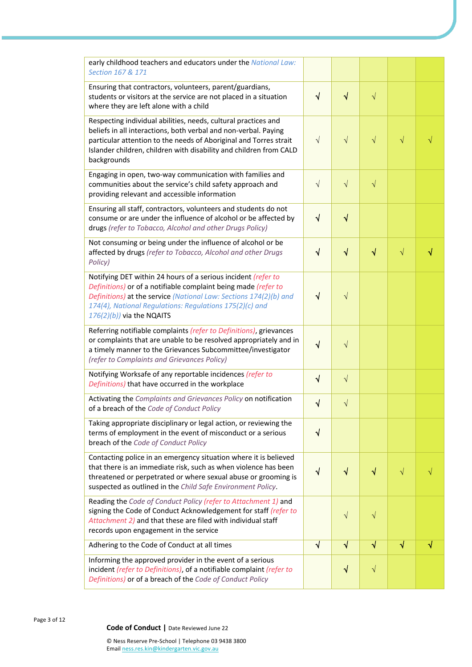| early childhood teachers and educators under the National Law:<br>Section 167 & 171                                                                                                                                                                                                             |            |            |                                  |           |           |
|-------------------------------------------------------------------------------------------------------------------------------------------------------------------------------------------------------------------------------------------------------------------------------------------------|------------|------------|----------------------------------|-----------|-----------|
| Ensuring that contractors, volunteers, parent/guardians,<br>students or visitors at the service are not placed in a situation<br>where they are left alone with a child                                                                                                                         | $\sqrt{ }$ | $\sqrt{}$  | $\sqrt{}$                        |           |           |
| Respecting individual abilities, needs, cultural practices and<br>beliefs in all interactions, both verbal and non-verbal. Paying<br>particular attention to the needs of Aboriginal and Torres strait<br>Islander children, children with disability and children from CALD<br>backgrounds     | $\sqrt{ }$ | $\sqrt{}$  | $\sqrt{}$                        | $\sqrt{}$ |           |
| Engaging in open, two-way communication with families and<br>communities about the service's child safety approach and<br>providing relevant and accessible information                                                                                                                         | $\sqrt{ }$ | $\sqrt{ }$ | $\sqrt{}$                        |           |           |
| Ensuring all staff, contractors, volunteers and students do not<br>consume or are under the influence of alcohol or be affected by<br>drugs (refer to Tobacco, Alcohol and other Drugs Policy)                                                                                                  | $\sqrt{ }$ | $\sqrt{}$  |                                  |           |           |
| Not consuming or being under the influence of alcohol or be<br>affected by drugs (refer to Tobacco, Alcohol and other Drugs<br>Policy)                                                                                                                                                          | $\sqrt{}$  | $\sqrt{}$  | $\color{red} \blacktriangleleft$ | $\sqrt{}$ | $\sqrt{}$ |
| Notifying DET within 24 hours of a serious incident (refer to<br>Definitions) or of a notifiable complaint being made (refer to<br>Definitions) at the service (National Law: Sections 174(2)(b) and<br>174(4), National Regulations: Regulations 175(2)(c) and<br>$176(2)(b)$ ) via the NQAITS | $\sqrt{}$  | $\sqrt{}$  |                                  |           |           |
| Referring notifiable complaints (refer to Definitions), grievances<br>or complaints that are unable to be resolved appropriately and in<br>a timely manner to the Grievances Subcommittee/investigator<br>(refer to Complaints and Grievances Policy)                                           | $\sqrt{}$  | $\sqrt{}$  |                                  |           |           |
| Notifying Worksafe of any reportable incidences (refer to<br>Definitions) that have occurred in the workplace                                                                                                                                                                                   | $\sqrt{ }$ | $\sqrt{ }$ |                                  |           |           |
| Activating the Complaints and Grievances Policy on notification<br>of a breach of the Code of Conduct Policy                                                                                                                                                                                    | $\sqrt{}$  | $\sqrt{}$  |                                  |           |           |
| Taking appropriate disciplinary or legal action, or reviewing the<br>terms of employment in the event of misconduct or a serious<br>breach of the Code of Conduct Policy                                                                                                                        | $\sqrt{ }$ |            |                                  |           |           |
| Contacting police in an emergency situation where it is believed<br>that there is an immediate risk, such as when violence has been<br>threatened or perpetrated or where sexual abuse or grooming is<br>suspected as outlined in the Child Safe Environment Policy.                            | $\sqrt{ }$ | $\sqrt{}$  | $\sqrt{}$                        | $\sqrt{}$ |           |
| Reading the Code of Conduct Policy (refer to Attachment 1) and<br>signing the Code of Conduct Acknowledgement for staff (refer to<br>Attachment 2) and that these are filed with individual staff<br>records upon engagement in the service                                                     |            | $\sqrt{}$  | $\sqrt{}$                        |           |           |
| Adhering to the Code of Conduct at all times                                                                                                                                                                                                                                                    | $\sqrt{ }$ | $\sqrt{ }$ | $\sqrt{}$                        | $\sqrt{}$ | V         |
| Informing the approved provider in the event of a serious<br>incident (refer to Definitions), of a notifiable complaint (refer to<br>Definitions) or of a breach of the Code of Conduct Policy                                                                                                  |            | $\sqrt{}$  | $\sqrt{}$                        |           |           |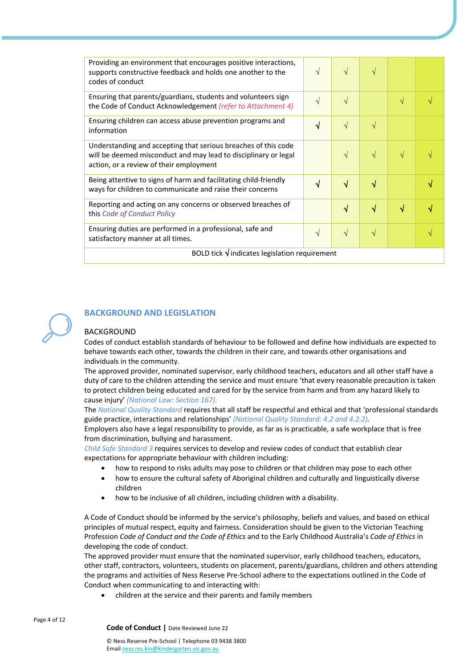| Providing an environment that encourages positive interactions,<br>supports constructive feedback and holds one another to the<br>codes of conduct                           | $\sqrt{}$  | $\sqrt{ }$ | $\sqrt{ }$ |   |  |
|------------------------------------------------------------------------------------------------------------------------------------------------------------------------------|------------|------------|------------|---|--|
| Ensuring that parents/guardians, students and volunteers sign<br>the Code of Conduct Acknowledgement (refer to Attachment 4)                                                 | $\sqrt{ }$ | $\sqrt{ }$ |            | V |  |
| Ensuring children can access abuse prevention programs and<br>information                                                                                                    | $\sqrt{}$  | $\sqrt{ }$ | $\sqrt{ }$ |   |  |
| Understanding and accepting that serious breaches of this code<br>will be deemed misconduct and may lead to disciplinary or legal<br>action, or a review of their employment |            | $\sqrt{ }$ | $\sqrt{}$  |   |  |
| Being attentive to signs of harm and facilitating child-friendly<br>ways for children to communicate and raise their concerns                                                | √          | $\sqrt{ }$ | √          |   |  |
| Reporting and acting on any concerns or observed breaches of<br>this Code of Conduct Policy                                                                                  |            | $\sqrt{ }$ | √          | √ |  |
| Ensuring duties are performed in a professional, safe and<br>satisfactory manner at all times.                                                                               | $\sqrt{ }$ | $\sqrt{ }$ | $\sqrt{}$  |   |  |
| BOLD tick $\sqrt{}$ indicates legislation requirement                                                                                                                        |            |            |            |   |  |

## **BACKGROUND AND LEGISLATION**

#### BACKGROUND

Codes of conduct establish standards of behaviour to be followed and define how individuals are expected to behave towards each other, towards the children in their care, and towards other organisations and individuals in the community.

The approved provider, nominated supervisor, early childhood teachers, educators and all other staff have a duty of care to the children attending the service and must ensure 'that every reasonable precaution is taken to protect children being educated and cared for by the service from harm and from any hazard likely to cause injury' *(National Law: Section 167).*

The *National Quality Standard* requires that all staff be respectful and ethical and that 'professional standards guide practice, interactions and relationships' *(National Quality Standard: 4.2 and 4.2.2).*

Employers also have a legal responsibility to provide, as far as is practicable, a safe workplace that is free from discrimination, bullying and harassment.

*Child Safe Standard 3* requires services to develop and review codes of conduct that establish clear expectations for appropriate behaviour with children including:

- how to respond to risks adults may pose to children or that children may pose to each other
- how to ensure the cultural safety of Aboriginal children and culturally and linguistically diverse children
- how to be inclusive of all children, including children with a disability.

A Code of Conduct should be informed by the service's philosophy, beliefs and values, and based on ethical principles of mutual respect, equity and fairness. Consideration should be given to the Victorian Teaching Profession *Code of Conduct and the Code of Ethics* and to the Early Childhood Australia's *Code of Ethics* in developing the code of conduct.

The approved provider must ensure that the nominated supervisor, early childhood teachers, educators, other staff, contractors, volunteers, students on placement, parents/guardians, children and others attending the programs and activities of Ness Reserve Pre-School adhere to the expectations outlined in the Code of Conduct when communicating to and interacting with:

• children at the service and their parents and family members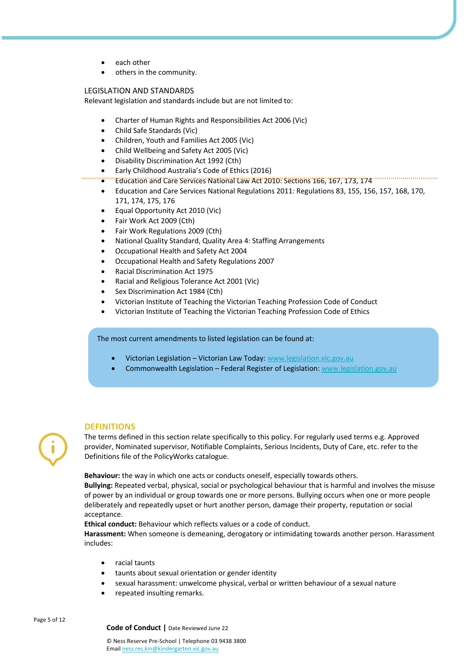- each other
- others in the community.

#### LEGISLATION AND STANDARDS

Relevant legislation and standards include but are not limited to:

- Charter of Human Rights and Responsibilities Act 2006 (Vic)
- Child Safe Standards (Vic)
- Children, Youth and Families Act 2005 (Vic)
- Child Wellbeing and Safety Act 2005 (Vic)
- Disability Discrimination Act 1992 (Cth)
- Early Childhood Australia's Code of Ethics (2016)
- Education and Care Services National Law Act 2010: Sections 166, 167, 173, 174
- Education and Care Services National Regulations 2011: Regulations 83, 155, 156, 157, 168, 170, 171, 174, 175, 176
- Equal Opportunity Act 2010 (Vic)
- Fair Work Act 2009 (Cth)
- Fair Work Regulations 2009 (Cth)
- National Quality Standard, Quality Area 4: Staffing Arrangements
- Occupational Health and Safety Act 2004
- Occupational Health and Safety Regulations 2007
- Racial Discrimination Act 1975
- Racial and Religious Tolerance Act 2001 (Vic)
- Sex Discrimination Act 1984 (Cth)
- Victorian Institute of Teaching the Victorian Teaching Profession Code of Conduct
- Victorian Institute of Teaching the Victorian Teaching Profession Code of Ethics

The most current amendments to listed legislation can be found at:

- Victorian Legislation Victorian Law Today: www.legislation.vic.gov.au
- Commonwealth Legislation Federal Register of Legislation: www.legislation.gov.au

#### **DEFINITIONS**

The terms defined in this section relate specifically to this policy. For regularly used terms e.g. Approved provider, Nominated supervisor, Notifiable Complaints, Serious Incidents, Duty of Care, etc. refer to the Definitions file of the PolicyWorks catalogue.

**Behaviour:** the way in which one acts or conducts oneself, especially towards others.

**Bullying:** Repeated verbal, physical, social or psychological behaviour that is harmful and involves the misuse of power by an individual or group towards one or more persons. Bullying occurs when one or more people deliberately and repeatedly upset or hurt another person, damage their property, reputation or social acceptance.

**Ethical conduct:** Behaviour which reflects values or a code of conduct.

**Harassment:** When someone is demeaning, derogatory or intimidating towards another person. Harassment includes:

- racial taunts
- taunts about sexual orientation or gender identity
- sexual harassment: unwelcome physical, verbal or written behaviour of a sexual nature
- repeated insulting remarks.

Page 5 of 12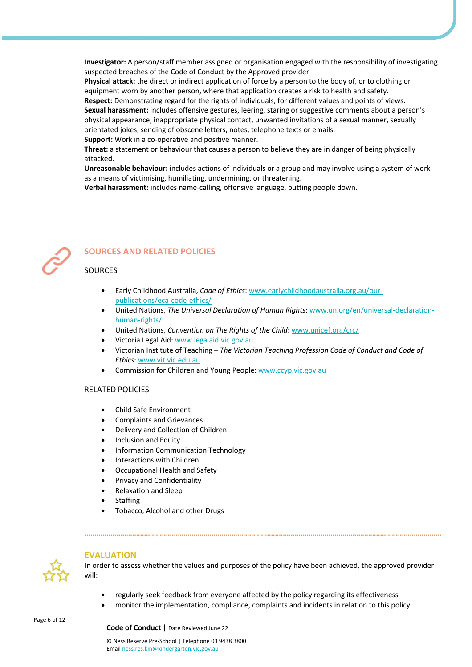**Investigator:** A person/staff member assigned or organisation engaged with the responsibility of investigating suspected breaches of the Code of Conduct by the Approved provider

**Physical attack:** the direct or indirect application of force by a person to the body of, or to clothing or equipment worn by another person, where that application creates a risk to health and safety.

**Respect:** Demonstrating regard for the rights of individuals, for different values and points of views. **Sexual harassment:** includes offensive gestures, leering, staring or suggestive comments about a person's physical appearance, inappropriate physical contact, unwanted invitations of a sexual manner, sexually orientated jokes, sending of obscene letters, notes, telephone texts or emails.

**Support:** Work in a co-operative and positive manner.

**Threat:** a statement or behaviour that causes a person to believe they are in danger of being physically attacked.

**Unreasonable behaviour:** includes actions of individuals or a group and may involve using a system of work as a means of victimising, humiliating, undermining, or threatening.

**Verbal harassment:** includes name-calling, offensive language, putting people down.



## **SOURCES AND RELATED POLICIES**

### SOURCES

- Early Childhood Australia, *Code of Ethics*: www.earlychildhoodaustralia.org.au/ourpublications/eca-code-ethics/
- United Nations, *The Universal Declaration of Human Rights*: www.un.org/en/universal-declarationhuman-rights/
- United Nations, *Convention on The Rights of the Child*: www.unicef.org/crc/
- Victoria Legal Aid: www.legalaid.vic.gov.au
- Victorian Institute of Teaching *The Victorian Teaching Profession Code of Conduct and Code of Ethics*: www.vit.vic.edu.au
- Commission for Children and Young People: www.ccyp.vic.gov.au

#### RELATED POLICIES

- Child Safe Environment
- Complaints and Grievances
- Delivery and Collection of Children
- Inclusion and Equity
- Information Communication Technology
- Interactions with Children
- Occupational Health and Safety
- Privacy and Confidentiality
- Relaxation and Sleep
- **Staffing**
- Tobacco, Alcohol and other Drugs



#### **EVALUATION**

In order to assess whether the values and purposes of the policy have been achieved, the approved provider will:

- regularly seek feedback from everyone affected by the policy regarding its effectiveness
- monitor the implementation, compliance, complaints and incidents in relation to this policy

Page 6 of 12

**Code of Conduct |** Date Reviewed June 22

© Ness Reserve Pre-School | Telephone 03 9438 3800 Email ness.res.kin@kindergarten.vic.gov.au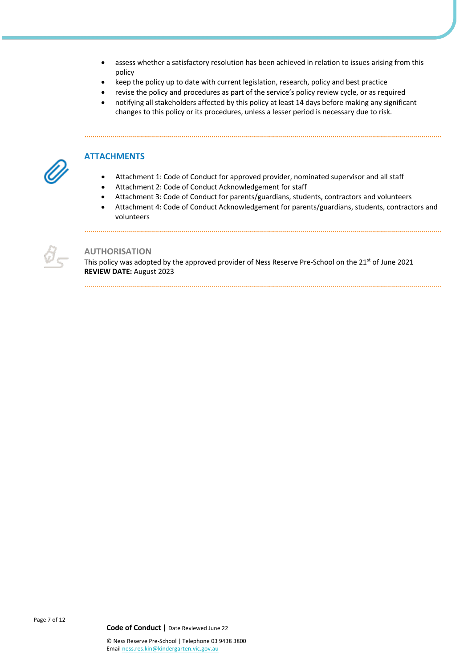- assess whether a satisfactory resolution has been achieved in relation to issues arising from this policy
- keep the policy up to date with current legislation, research, policy and best practice
- revise the policy and procedures as part of the service's policy review cycle, or as required
- notifying all stakeholders affected by this policy at least 14 days before making any significant changes to this policy or its procedures, unless a lesser period is necessary due to risk.



#### **ATTACHMENTS**

.....................

- Attachment 1: Code of Conduct for approved provider, nominated supervisor and all staff
- Attachment 2: Code of Conduct Acknowledgement for staff
- Attachment 3: Code of Conduct for parents/guardians, students, contractors and volunteers
- Attachment 4: Code of Conduct Acknowledgement for parents/guardians, students, contractors and volunteers



### **AUTHORISATION**

This policy was adopted by the approved provider of Ness Reserve Pre-School on the 21<sup>st</sup> of June 2021 **REVIEW DATE:** August 2023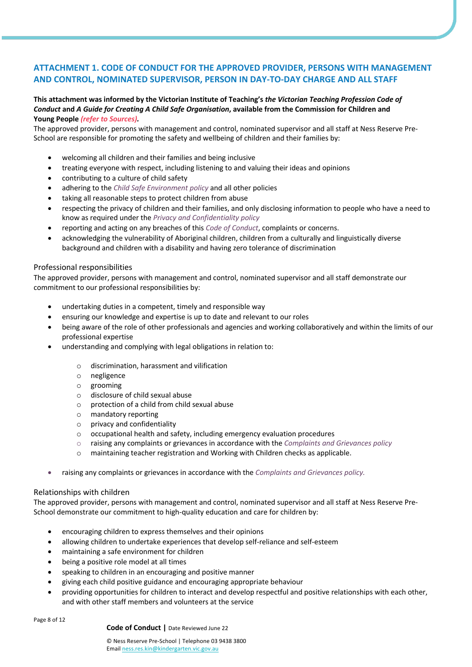## **ATTACHMENT 1. CODE OF CONDUCT FOR THE APPROVED PROVIDER, PERSONS WITH MANAGEMENT AND CONTROL, NOMINATED SUPERVISOR, PERSON IN DAY-TO-DAY CHARGE AND ALL STAFF**

#### **This attachment was informed by the Victorian Institute of Teaching's** *the Victorian Teaching Profession Code of Conduct* **and** *A Guide for Creating A Child Safe Organisation***, available from the Commission for Children and Young People** *(refer to Sources).*

The approved provider, persons with management and control, nominated supervisor and all staff at Ness Reserve Pre-School are responsible for promoting the safety and wellbeing of children and their families by:

- welcoming all children and their families and being inclusive
- treating everyone with respect, including listening to and valuing their ideas and opinions
- contributing to a culture of child safety
- adhering to the *Child Safe Environment policy* and all other policies
- taking all reasonable steps to protect children from abuse
- respecting the privacy of children and their families, and only disclosing information to people who have a need to know as required under the *Privacy and Confidentiality policy*
- reporting and acting on any breaches of this *Code of Conduct*, complaints or concerns.
- acknowledging the vulnerability of Aboriginal children, children from a culturally and linguistically diverse background and children with a disability and having zero tolerance of discrimination

#### Professional responsibilities

The approved provider, persons with management and control, nominated supervisor and all staff demonstrate our commitment to our professional responsibilities by:

- undertaking duties in a competent, timely and responsible way
- ensuring our knowledge and expertise is up to date and relevant to our roles
- being aware of the role of other professionals and agencies and working collaboratively and within the limits of our professional expertise
- understanding and complying with legal obligations in relation to:
	- o discrimination, harassment and vilification
	- o negligence
	- o grooming
	- o disclosure of child sexual abuse
	- $\circ$  protection of a child from child sexual abuse
	- o mandatory reporting
	- $\circ$  privacy and confidentiality
	- o occupational health and safety, including emergency evaluation procedures
	- o raising any complaints or grievances in accordance with the *Complaints and Grievances policy*
	- o maintaining teacher registration and Working with Children checks as applicable.
- raising any complaints or grievances in accordance with the *Complaints and Grievances policy.*

#### Relationships with children

The approved provider, persons with management and control, nominated supervisor and all staff at Ness Reserve Pre-School demonstrate our commitment to high-quality education and care for children by:

- encouraging children to express themselves and their opinions
- allowing children to undertake experiences that develop self-reliance and self-esteem
- maintaining a safe environment for children
- being a positive role model at all times
- speaking to children in an encouraging and positive manner
- giving each child positive guidance and encouraging appropriate behaviour
- providing opportunities for children to interact and develop respectful and positive relationships with each other, and with other staff members and volunteers at the service

Page 8 of 12

**Code of Conduct |** Date Reviewed June 22

© Ness Reserve Pre-School | Telephone 03 9438 3800 Email ness.res.kin@kindergarten.vic.gov.au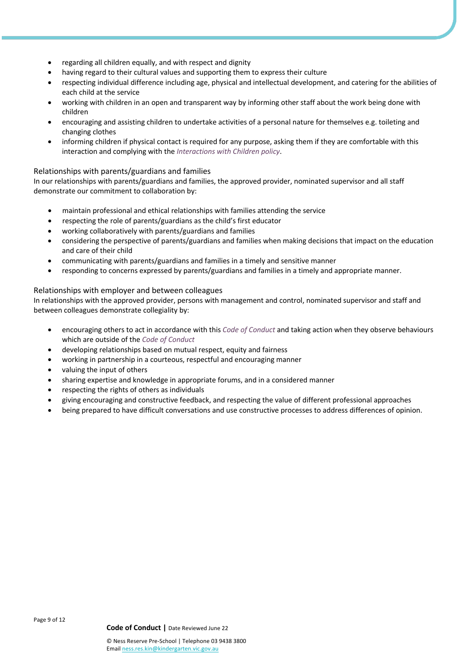- regarding all children equally, and with respect and dignity
- having regard to their cultural values and supporting them to express their culture
- respecting individual difference including age, physical and intellectual development, and catering for the abilities of each child at the service
- working with children in an open and transparent way by informing other staff about the work being done with children
- encouraging and assisting children to undertake activities of a personal nature for themselves e.g. toileting and changing clothes
- informing children if physical contact is required for any purpose, asking them if they are comfortable with this interaction and complying with the *Interactions with Children policy*.

#### Relationships with parents/guardians and families

In our relationships with parents/guardians and families, the approved provider, nominated supervisor and all staff demonstrate our commitment to collaboration by:

- maintain professional and ethical relationships with families attending the service
- respecting the role of parents/guardians as the child's first educator
- working collaboratively with parents/guardians and families
- considering the perspective of parents/guardians and families when making decisions that impact on the education and care of their child
- communicating with parents/guardians and families in a timely and sensitive manner
- responding to concerns expressed by parents/guardians and families in a timely and appropriate manner.

#### Relationships with employer and between colleagues

In relationships with the approved provider, persons with management and control, nominated supervisor and staff and between colleagues demonstrate collegiality by:

- encouraging others to act in accordance with this *Code of Conduct* and taking action when they observe behaviours which are outside of the *Code of Conduct*
- developing relationships based on mutual respect, equity and fairness
- working in partnership in a courteous, respectful and encouraging manner
- valuing the input of others
- sharing expertise and knowledge in appropriate forums, and in a considered manner
- respecting the rights of others as individuals
- giving encouraging and constructive feedback, and respecting the value of different professional approaches
- being prepared to have difficult conversations and use constructive processes to address differences of opinion.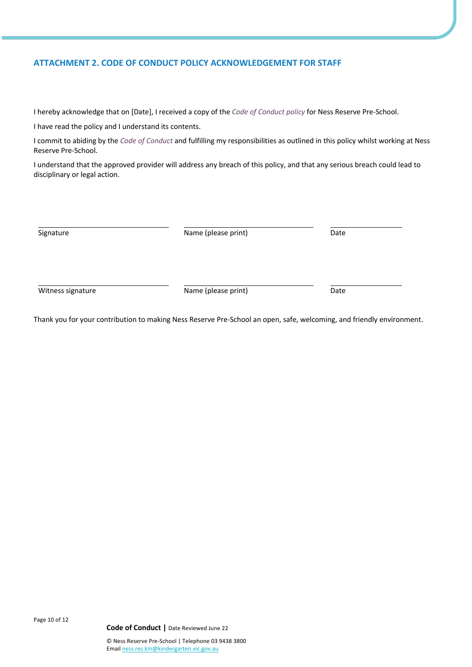## **ATTACHMENT 2. CODE OF CONDUCT POLICY ACKNOWLEDGEMENT FOR STAFF**

I hereby acknowledge that on [Date], I received a copy of the *Code of Conduct policy* for Ness Reserve Pre-School.

I have read the policy and I understand its contents.

I commit to abiding by the *Code of Conduct* and fulfilling my responsibilities as outlined in this policy whilst working at Ness Reserve Pre-School.

I understand that the approved provider will address any breach of this policy, and that any serious breach could lead to disciplinary or legal action.

| Signature         | Name (please print) | Date |
|-------------------|---------------------|------|
| Witness signature | Name (please print) | Date |

Thank you for your contribution to making Ness Reserve Pre-School an open, safe, welcoming, and friendly environment.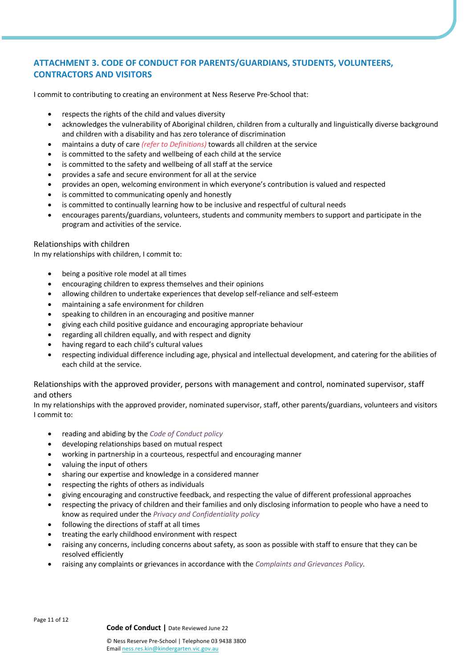# **ATTACHMENT 3. CODE OF CONDUCT FOR PARENTS/GUARDIANS, STUDENTS, VOLUNTEERS, CONTRACTORS AND VISITORS**

I commit to contributing to creating an environment at Ness Reserve Pre-School that:

- respects the rights of the child and values diversity
- acknowledges the vulnerability of Aboriginal children, children from a culturally and linguistically diverse background and children with a disability and has zero tolerance of discrimination
- maintains a duty of care *(refer to Definitions)* towards all children at the service
- is committed to the safety and wellbeing of each child at the service
- is committed to the safety and wellbeing of all staff at the service
- provides a safe and secure environment for all at the service
- provides an open, welcoming environment in which everyone's contribution is valued and respected
- is committed to communicating openly and honestly
- is committed to continually learning how to be inclusive and respectful of cultural needs
- encourages parents/guardians, volunteers, students and community members to support and participate in the program and activities of the service.

#### Relationships with children

In my relationships with children, I commit to:

- being a positive role model at all times
- encouraging children to express themselves and their opinions
- allowing children to undertake experiences that develop self-reliance and self-esteem
- maintaining a safe environment for children
- speaking to children in an encouraging and positive manner
- giving each child positive guidance and encouraging appropriate behaviour
- regarding all children equally, and with respect and dignity
- having regard to each child's cultural values
- respecting individual difference including age, physical and intellectual development, and catering for the abilities of each child at the service.

Relationships with the approved provider, persons with management and control, nominated supervisor, staff and others

In my relationships with the approved provider, nominated supervisor, staff, other parents/guardians, volunteers and visitors I commit to:

- reading and abiding by the *Code of Conduct policy*
- developing relationships based on mutual respect
- working in partnership in a courteous, respectful and encouraging manner
- valuing the input of others
- sharing our expertise and knowledge in a considered manner
- respecting the rights of others as individuals
- giving encouraging and constructive feedback, and respecting the value of different professional approaches
- respecting the privacy of children and their families and only disclosing information to people who have a need to know as required under the *Privacy and Confidentiality policy*
- following the directions of staff at all times
- treating the early childhood environment with respect
- raising any concerns, including concerns about safety, as soon as possible with staff to ensure that they can be resolved efficiently
- raising any complaints or grievances in accordance with the *Complaints and Grievances Policy.*